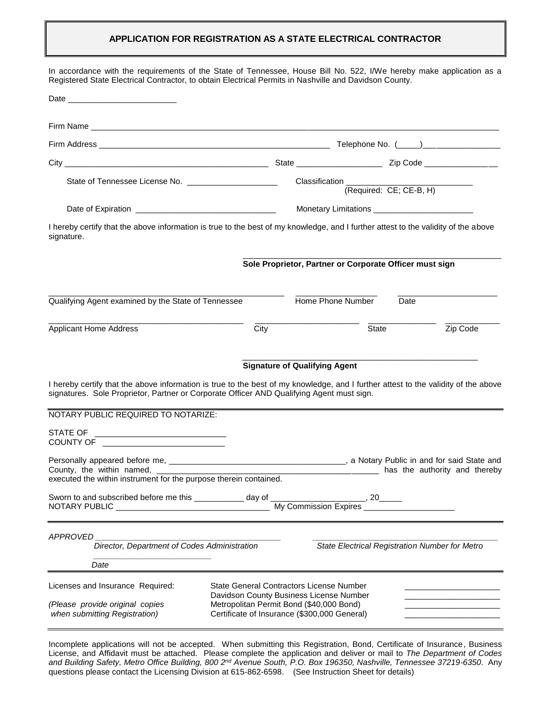### **APPLICATION FOR REGISTRATION AS A STATE ELECTRICAL CONTRACTOR**

| In accordance with the requirements of the State of Tennessee, House Bill No. 522, I/We hereby make application as a<br>Registered State Electrical Contractor, to obtain Electrical Permits in Nashville and Davidson County.  |                                          |                                                                                                                                            |                         |                                                |
|---------------------------------------------------------------------------------------------------------------------------------------------------------------------------------------------------------------------------------|------------------------------------------|--------------------------------------------------------------------------------------------------------------------------------------------|-------------------------|------------------------------------------------|
| Date experience and the state of the state of the state of the state of the state of the state of the state of                                                                                                                  |                                          |                                                                                                                                            |                         |                                                |
|                                                                                                                                                                                                                                 |                                          |                                                                                                                                            |                         |                                                |
|                                                                                                                                                                                                                                 |                                          |                                                                                                                                            |                         |                                                |
|                                                                                                                                                                                                                                 |                                          |                                                                                                                                            |                         |                                                |
| State of Tennessee License No. ________________________                                                                                                                                                                         |                                          | Classification _______________                                                                                                             |                         |                                                |
|                                                                                                                                                                                                                                 |                                          |                                                                                                                                            | (Required: CE; CE-B, H) |                                                |
|                                                                                                                                                                                                                                 |                                          |                                                                                                                                            |                         |                                                |
| I hereby certify that the above information is true to the best of my knowledge, and I further attest to the validity of the above<br>signature.                                                                                |                                          |                                                                                                                                            |                         |                                                |
|                                                                                                                                                                                                                                 |                                          | Sole Proprietor, Partner or Corporate Officer must sign                                                                                    |                         |                                                |
| Qualifying Agent examined by the State of Tennessee                                                                                                                                                                             |                                          | Home Phone Number                                                                                                                          | Date                    |                                                |
| <b>Applicant Home Address</b>                                                                                                                                                                                                   | City                                     |                                                                                                                                            | State                   | Zip Code                                       |
| I hereby certify that the above information is true to the best of my knowledge, and I further attest to the validity of the above<br>signatures. Sole Proprietor, Partner or Corporate Officer AND Qualifying Agent must sign. |                                          | <b>Signature of Qualifying Agent</b>                                                                                                       |                         |                                                |
| NOTARY PUBLIC REQUIRED TO NOTARIZE:                                                                                                                                                                                             |                                          |                                                                                                                                            |                         |                                                |
| STATE OF _________________________________                                                                                                                                                                                      |                                          |                                                                                                                                            |                         |                                                |
| County, the within named, _<br>executed the within instrument for the purpose therein contained.                                                                                                                                |                                          |                                                                                                                                            |                         |                                                |
|                                                                                                                                                                                                                                 |                                          |                                                                                                                                            |                         |                                                |
| APPROVED<br>Director, Department of Codes Administration                                                                                                                                                                        |                                          |                                                                                                                                            |                         | State Electrical Registration Number for Metro |
| Date                                                                                                                                                                                                                            |                                          |                                                                                                                                            |                         |                                                |
| Licenses and Insurance Required:<br>(Please provide original copies<br>when submitting Registration)                                                                                                                            | Metropolitan Permit Bond (\$40,000 Bond) | <b>State General Contractors License Number</b><br>Davidson County Business License Number<br>Certificate of Insurance (\$300,000 General) |                         |                                                |

Incomplete applications will not be accepted. When submitting this Registration, Bond, Certificate of Insurance, Business License, and Affidavit must be attached. Please complete the application and deliver or mail to *The Department of Codes and Building Safety, Metro Office Building, 800 2nd Avenue South, P.O. Box 196350, Nashville, Tennessee 37219-6350*. Any questions please contact the Licensing Division at 615-862-6598. (See Instruction Sheet for details)